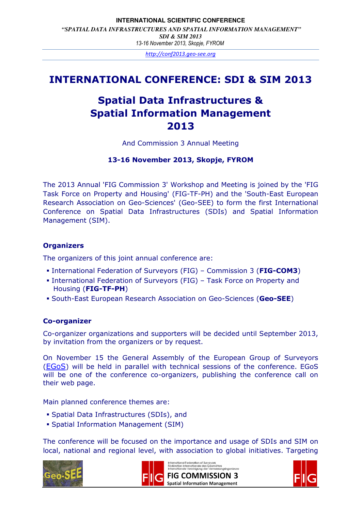### **INTERNATIONAL SCIENTIFIC CONFERENCE**   *"SPATIAL DATA INFRASTRUCTURES AND SPATIAL INFORMATION MANAGEMENT" SDI & SIM 2013*  13-16 November 2013, Skopje, FYROM

http://conf2013.geo-see.org

# INTERNATIONAL CONFERENCE: SDI & SIM 2013

# Spatial Data Infrastructures & Spatial Information Management 2013

And Commission 3 Annual Meeting

#### 13-16 November 2013, Skopje, FYROM

The 2013 Annual 'FIG Commission 3' Workshop and Meeting is joined by the 'FIG Task Force on Property and Housing' (FIG-TF-PH) and the 'South-East European Research Association on Geo-Sciences' (Geo-SEE) to form the first International Conference on Spatial Data Infrastructures (SDIs) and Spatial Information Management (SIM).

#### **Organizers**

The organizers of this joint annual conference are:

- International Federation of Surveyors (FIG) Commission 3 (FIG-COM3)
- International Federation of Surveyors (FIG) Task Force on Property and Housing (FIG-TF-PH)
- **South-East European Research Association on Geo-Sciences (Geo-SEE)**

#### Co-organizer

Co-organizer organizations and supporters will be decided until September 2013, by invitation from the organizers or by request.

On November 15 the General Assembly of the European Group of Surveyors (EGoS) will be held in parallel with technical sessions of the conference. EGoS will be one of the conference co-organizers, publishing the conference call on their web page.

Main planned conference themes are:

- Spatial Data Infrastructures (SDIs), and
- **Spatial Information Management (SIM)**

The conference will be focused on the importance and usage of SDIs and SIM on local, national and regional level, with association to global initiatives. Targeting





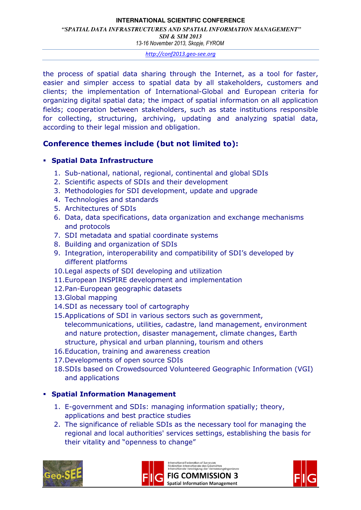#### **INTERNATIONAL SCIENTIFIC CONFERENCE**   *"SPATIAL DATA INFRASTRUCTURES AND SPATIAL INFORMATION MANAGEMENT" SDI & SIM 2013*

13-16 November 2013, Skopje, FYROM

http://conf2013.geo-see.org

the process of spatial data sharing through the Internet, as a tool for faster, easier and simpler access to spatial data by all stakeholders, customers and clients; the implementation of International-Global and European criteria for organizing digital spatial data; the impact of spatial information on all application fields; cooperation between stakeholders, such as state institutions responsible for collecting, structuring, archiving, updating and analyzing spatial data, according to their legal mission and obligation.

# Conference themes include (but not limited to):

### Spatial Data Infrastructure

- 1. Sub-national, national, regional, continental and global SDIs
- 2. Scientific aspects of SDIs and their development
- 3. Methodologies for SDI development, update and upgrade
- 4. Technologies and standards
- 5. Architectures of SDIs
- 6. Data, data specifications, data organization and exchange mechanisms and protocols
- 7. SDI metadata and spatial coordinate systems
- 8. Building and organization of SDIs
- 9. Integration, interoperability and compatibility of SDI's developed by different platforms
- 10.Legal aspects of SDI developing and utilization
- 11.European INSPIRE development and implementation
- 12.Pan-European geographic datasets
- 13.Global mapping
- 14.SDI as necessary tool of cartography
- 15.Applications of SDI in various sectors such as government, telecommunications, utilities, cadastre, land management, environment and nature protection, disaster management, climate changes, Earth structure, physical and urban planning, tourism and others
- 16.Education, training and awareness creation
- 17.Developments of open source SDIs
- 18.SDIs based on Crowedsourced Volunteered Geographic Information (VGI) and applications

# Spatial Information Management

- 1. E-government and SDIs: managing information spatially; theory, applications and best practice studies
- 2. The significance of reliable SDIs as the necessary tool for managing the regional and local authorities' services settings, establishing the basis for their vitality and "openness to change"





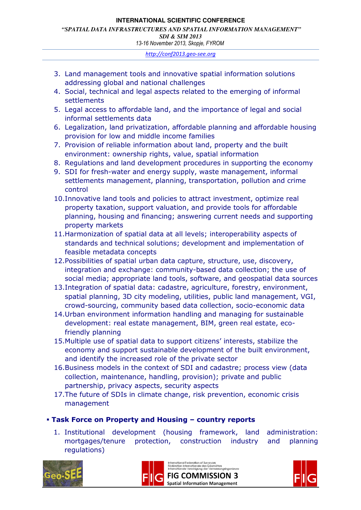#### **INTERNATIONAL SCIENTIFIC CONFERENCE**   *"SPATIAL DATA INFRASTRUCTURES AND SPATIAL INFORMATION MANAGEMENT" SDI & SIM 2013*

13-16 November 2013, Skopje, FYROM

http://conf2013.geo-see.org

- 3. Land management tools and innovative spatial information solutions addressing global and national challenges
- 4. Social, technical and legal aspects related to the emerging of informal settlements
- 5. Legal access to affordable land, and the importance of legal and social informal settlements data
- 6. Legalization, land privatization, affordable planning and affordable housing provision for low and middle income families
- 7. Provision of reliable information about land, property and the built environment: ownership rights, value, spatial information
- 8. Regulations and land development procedures in supporting the economy
- 9. SDI for fresh-water and energy supply, waste management, informal settlements management, planning, transportation, pollution and crime control
- 10.Innovative land tools and policies to attract investment, optimize real property taxation, support valuation, and provide tools for affordable planning, housing and financing; answering current needs and supporting property markets
- 11.Harmonization of spatial data at all levels; interoperability aspects of standards and technical solutions; development and implementation of feasible metadata concepts
- 12.Possibilities of spatial urban data capture, structure, use, discovery, integration and exchange: community-based data collection; the use of social media; appropriate land tools, software, and geospatial data sources
- 13.Integration of spatial data: cadastre, agriculture, forestry, environment, spatial planning, 3D city modeling, utilities, public land management, VGI, crowd-sourcing, community based data collection, socio-economic data
- 14.Urban environment information handling and managing for sustainable development: real estate management, BIM, green real estate, ecofriendly planning
- 15.Multiple use of spatial data to support citizens' interests, stabilize the economy and support sustainable development of the built environment, and identify the increased role of the private sector
- 16.Business models in the context of SDI and cadastre; process view (data collection, maintenance, handling, provision); private and public partnership, privacy aspects, security aspects
- 17.The future of SDIs in climate change, risk prevention, economic crisis management

#### Task Force on Property and Housing – country reports

1. Institutional development (housing framework, land administration: mortgages/tenure protection, construction industry and planning regulations)





International Federation of Surveyors<br>Fédération Internationale des Géomètres<br>Internationale Vereinigung der Vermessungsingenieure

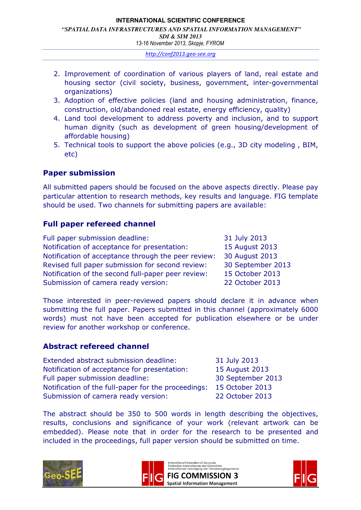#### **INTERNATIONAL SCIENTIFIC CONFERENCE**   *"SPATIAL DATA INFRASTRUCTURES AND SPATIAL INFORMATION MANAGEMENT" SDI & SIM 2013*  13-16 November 2013, Skopje, FYROM

http://conf2013.geo-see.org

- 2. Improvement of coordination of various players of land, real estate and housing sector (civil society, business, government, inter-governmental organizations)
- 3. Adoption of effective policies (land and housing administration, finance, construction, old/abandoned real estate, energy efficiency, quality)
- 4. Land tool development to address poverty and inclusion, and to support human dignity (such as development of green housing/development of affordable housing)
- 5. Technical tools to support the above policies (e.g., 3D city modeling , BIM, etc)

# Paper submission

All submitted papers should be focused on the above aspects directly. Please pay particular attention to research methods, key results and language. FIG template should be used. Two channels for submitting papers are available:

# Full paper refereed channel

| Full paper submission deadline:                     | 31 July 2013      |
|-----------------------------------------------------|-------------------|
| Notification of acceptance for presentation:        | 15 August 2013    |
| Notification of acceptance through the peer review: | 30 August 2013    |
| Revised full paper submission for second review:    | 30 September 2013 |
| Notification of the second full-paper peer review:  | 15 October 2013   |
| Submission of camera ready version:                 | 22 October 2013   |

Those interested in peer-reviewed papers should declare it in advance when submitting the full paper. Papers submitted in this channel (approximately 6000 words) must not have been accepted for publication elsewhere or be under review for another workshop or conference.

# Abstract refereed channel

| Extended abstract submission deadline:              | 31 July 2013      |
|-----------------------------------------------------|-------------------|
| Notification of acceptance for presentation:        | 15 August 2013    |
| Full paper submission deadline:                     | 30 September 2013 |
| Notification of the full-paper for the proceedings: | 15 October 2013   |
| Submission of camera ready version:                 | 22 October 2013   |

The abstract should be 350 to 500 words in length describing the objectives, results, conclusions and significance of your work (relevant artwork can be embedded). Please note that in order for the research to be presented and included in the proceedings, full paper version should be submitted on time.





International Federation of Surveyors<br>Fédération Internationale des Géomètres<br>Internationale Vereinigung der Vermessungsingenieure **FIG COMMISSION 3 Spatial Information Management** 

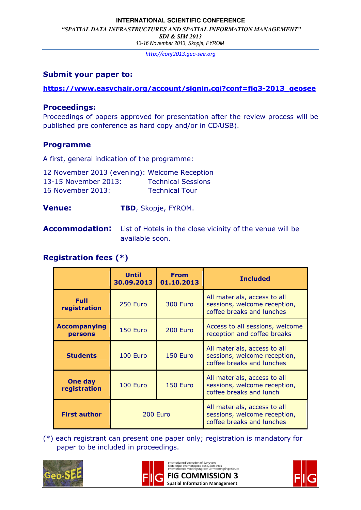#### **INTERNATIONAL SCIENTIFIC CONFERENCE**

 *"SPATIAL DATA INFRASTRUCTURES AND SPATIAL INFORMATION MANAGEMENT"* 

*SDI & SIM 2013* 

13-16 November 2013, Skopje, FYROM

http://conf2013.geo-see.org

#### Submit your paper to:

### https://www.easychair.org/account/signin.cgi?conf=fig3-2013\_geosee

### Proceedings:

Proceedings of papers approved for presentation after the review process will be published pre conference as hard copy and/or in CD/USB).

# Programme

A first, general indication of the programme:

| 12 November 2013 (evening): Welcome Reception |                           |
|-----------------------------------------------|---------------------------|
| 13-15 November 2013:                          | <b>Technical Sessions</b> |
| 16 November 2013:                             | <b>Technical Tour</b>     |

# Venue: TBD, Skopje, FYROM.

Accommodation: List of Hotels in the close vicinity of the venue will be available soon.

# Registration fees (\*)

|                                | <b>Until</b><br>30.09.2013 | <b>From</b><br>01.10.2013 | <b>Included</b>                                                                           |
|--------------------------------|----------------------------|---------------------------|-------------------------------------------------------------------------------------------|
| Full<br>registration           | 250 Euro                   | <b>300 Euro</b>           | All materials, access to all<br>sessions, welcome reception,<br>coffee breaks and lunches |
| <b>Accompanying</b><br>persons | 150 Euro                   | 200 Euro                  | Access to all sessions, welcome<br>reception and coffee breaks                            |
| <b>Students</b>                | 100 Euro                   | 150 Euro                  | All materials, access to all<br>sessions, welcome reception,<br>coffee breaks and lunches |
| One day<br>registration        | 100 Euro                   | 150 Euro                  | All materials, access to all<br>sessions, welcome reception,<br>coffee breaks and lunch   |
| <b>First author</b>            | 200 Euro                   |                           | All materials, access to all<br>sessions, welcome reception,<br>coffee breaks and lunches |

(\*) each registrant can present one paper only; registration is mandatory for paper to be included in proceedings.





International Federation of Surveyors<br>Fédération Internationale des Géomètres<br>Internationale Vereinigung der Vermessungsingenieure **FIG COMMISSION 3** 

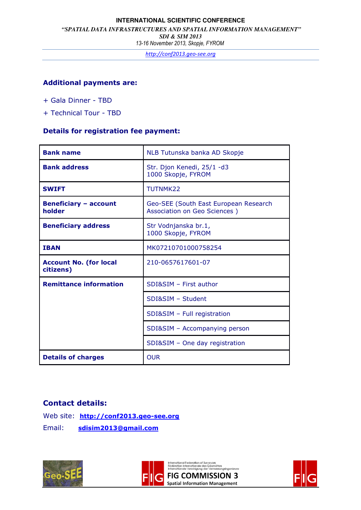#### **INTERNATIONAL SCIENTIFIC CONFERENCE**

 *"SPATIAL DATA INFRASTRUCTURES AND SPATIAL INFORMATION MANAGEMENT"* 

*SDI & SIM 2013* 

13-16 November 2013, Skopje, FYROM

http://conf2013.geo-see.org

#### Additional payments are:

- + Gala Dinner TBD
- + Technical Tour TBD

#### Details for registration fee payment:

| <b>Bank name</b>                           | NLB Tutunska banka AD Skopje                                          |
|--------------------------------------------|-----------------------------------------------------------------------|
| <b>Bank address</b>                        | Str. Djon Kenedi, 25/1 -d3<br>1000 Skopje, FYROM                      |
| <b>SWIFT</b>                               | TUTNMK22                                                              |
| <b>Beneficiary - account</b><br>holder     | Geo-SEE (South East European Research<br>Association on Geo Sciences) |
| <b>Beneficiary address</b>                 | Str Vodnjanska br.1,<br>1000 Skopje, FYROM                            |
| <b>IBAN</b>                                | MK07210701000758254                                                   |
| <b>Account No. (for local</b><br>citizens) | 210-0657617601-07                                                     |
| <b>Remittance information</b>              | SDI&SIM - First author                                                |
|                                            | SDI&SIM - Student                                                     |
|                                            | SDI&SIM - Full registration                                           |
|                                            | SDI&SIM - Accompanying person                                         |
|                                            | SDI&SIM - One day registration                                        |
| <b>Details of charges</b>                  | <b>OUR</b>                                                            |

#### Contact details:

Web site: http://conf2013.geo-see.org Email: sdisim2013@gmail.com





International Federation of Surveyors<br>Fédération Internationale des Géomètres<br>Internationale Vereinigung der Vermessungsingenieure **FIG COMMISSION 3**